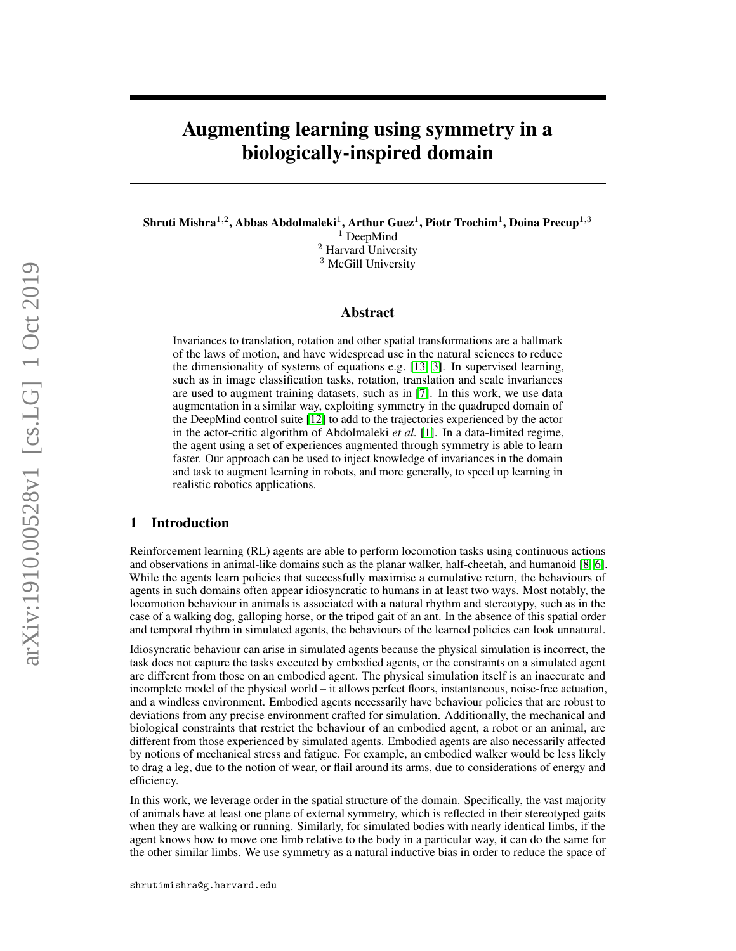# Augmenting learning using symmetry in a biologically-inspired domain

Shruti Mishra $^{1,2}$ , Abbas Abdolmaleki $^{1}$ , Arthur Guez $^{1}$ , Piotr Trochim $^{1}$ , Doina Precup $^{1,3}$ <sup>1</sup> DeepMind <sup>2</sup> Harvard University <sup>3</sup> McGill University

# Abstract

Invariances to translation, rotation and other spatial transformations are a hallmark of the laws of motion, and have widespread use in the natural sciences to reduce the dimensionality of systems of equations e.g. [\[13,](#page-4-0) [3\]](#page-4-1). In supervised learning, such as in image classification tasks, rotation, translation and scale invariances are used to augment training datasets, such as in [\[7\]](#page-4-2). In this work, we use data augmentation in a similar way, exploiting symmetry in the quadruped domain of the DeepMind control suite [\[12\]](#page-4-3) to add to the trajectories experienced by the actor in the actor-critic algorithm of Abdolmaleki *et al.* [\[1\]](#page-4-4). In a data-limited regime, the agent using a set of experiences augmented through symmetry is able to learn faster. Our approach can be used to inject knowledge of invariances in the domain and task to augment learning in robots, and more generally, to speed up learning in realistic robotics applications.

# 1 Introduction

Reinforcement learning (RL) agents are able to perform locomotion tasks using continuous actions and observations in animal-like domains such as the planar walker, half-cheetah, and humanoid [\[8,](#page-4-5) [6\]](#page-4-6). While the agents learn policies that successfully maximise a cumulative return, the behaviours of agents in such domains often appear idiosyncratic to humans in at least two ways. Most notably, the locomotion behaviour in animals is associated with a natural rhythm and stereotypy, such as in the case of a walking dog, galloping horse, or the tripod gait of an ant. In the absence of this spatial order and temporal rhythm in simulated agents, the behaviours of the learned policies can look unnatural.

Idiosyncratic behaviour can arise in simulated agents because the physical simulation is incorrect, the task does not capture the tasks executed by embodied agents, or the constraints on a simulated agent are different from those on an embodied agent. The physical simulation itself is an inaccurate and incomplete model of the physical world – it allows perfect floors, instantaneous, noise-free actuation, and a windless environment. Embodied agents necessarily have behaviour policies that are robust to deviations from any precise environment crafted for simulation. Additionally, the mechanical and biological constraints that restrict the behaviour of an embodied agent, a robot or an animal, are different from those experienced by simulated agents. Embodied agents are also necessarily affected by notions of mechanical stress and fatigue. For example, an embodied walker would be less likely to drag a leg, due to the notion of wear, or flail around its arms, due to considerations of energy and efficiency.

In this work, we leverage order in the spatial structure of the domain. Specifically, the vast majority of animals have at least one plane of external symmetry, which is reflected in their stereotyped gaits when they are walking or running. Similarly, for simulated bodies with nearly identical limbs, if the agent knows how to move one limb relative to the body in a particular way, it can do the same for the other similar limbs. We use symmetry as a natural inductive bias in order to reduce the space of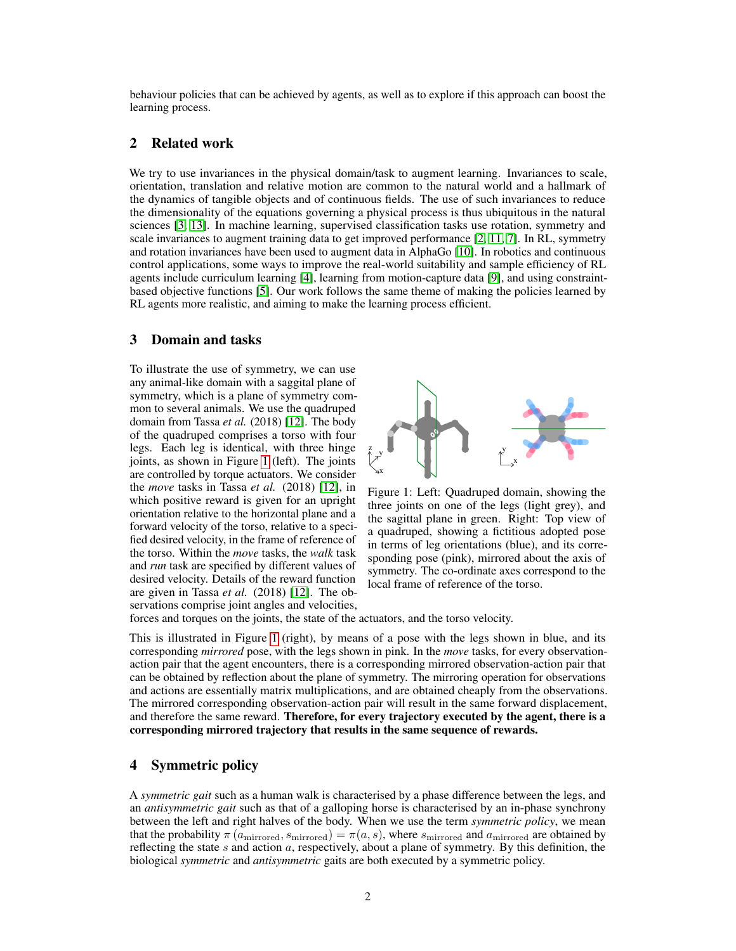behaviour policies that can be achieved by agents, as well as to explore if this approach can boost the learning process.

# 2 Related work

We try to use invariances in the physical domain/task to augment learning. Invariances to scale, orientation, translation and relative motion are common to the natural world and a hallmark of the dynamics of tangible objects and of continuous fields. The use of such invariances to reduce the dimensionality of the equations governing a physical process is thus ubiquitous in the natural sciences [\[3,](#page-4-1) [13\]](#page-4-0). In machine learning, supervised classification tasks use rotation, symmetry and scale invariances to augment training data to get improved performance [\[2,](#page-4-7) [11,](#page-4-8) [7\]](#page-4-2). In RL, symmetry and rotation invariances have been used to augment data in AlphaGo [\[10\]](#page-4-9). In robotics and continuous control applications, some ways to improve the real-world suitability and sample efficiency of RL agents include curriculum learning [\[4\]](#page-4-10), learning from motion-capture data [\[9\]](#page-4-11), and using constraintbased objective functions [\[5\]](#page-4-12). Our work follows the same theme of making the policies learned by RL agents more realistic, and aiming to make the learning process efficient.

# <span id="page-1-1"></span>3 Domain and tasks

To illustrate the use of symmetry, we can use any animal-like domain with a saggital plane of symmetry, which is a plane of symmetry common to several animals. We use the quadruped domain from Tassa *et al.* (2018) [\[12\]](#page-4-3). The body of the quadruped comprises a torso with four legs. Each leg is identical, with three hinge joints, as shown in Figure [1](#page-1-0) (left). The joints are controlled by torque actuators. We consider the *move* tasks in Tassa *et al.* (2018) [\[12\]](#page-4-3), in which positive reward is given for an upright orientation relative to the horizontal plane and a forward velocity of the torso, relative to a specified desired velocity, in the frame of reference of the torso. Within the *move* tasks, the *walk* task and *run* task are specified by different values of desired velocity. Details of the reward function are given in Tassa *et al.* (2018) [\[12\]](#page-4-3). The observations comprise joint angles and velocities,

<span id="page-1-0"></span>

Figure 1: Left: Quadruped domain, showing the three joints on one of the legs (light grey), and the sagittal plane in green. Right: Top view of a quadruped, showing a fictitious adopted pose in terms of leg orientations (blue), and its corresponding pose (pink), mirrored about the axis of symmetry. The co-ordinate axes correspond to the local frame of reference of the torso.

forces and torques on the joints, the state of the actuators, and the torso velocity.

This is illustrated in Figure [1](#page-1-0) (right), by means of a pose with the legs shown in blue, and its corresponding *mirrored* pose, with the legs shown in pink. In the *move* tasks, for every observationaction pair that the agent encounters, there is a corresponding mirrored observation-action pair that can be obtained by reflection about the plane of symmetry. The mirroring operation for observations and actions are essentially matrix multiplications, and are obtained cheaply from the observations. The mirrored corresponding observation-action pair will result in the same forward displacement, and therefore the same reward. Therefore, for every trajectory executed by the agent, there is a corresponding mirrored trajectory that results in the same sequence of rewards.

# 4 Symmetric policy

A *symmetric gait* such as a human walk is characterised by a phase difference between the legs, and an *antisymmetric gait* such as that of a galloping horse is characterised by an in-phase synchrony between the left and right halves of the body. When we use the term *symmetric policy*, we mean that the probability  $\pi(a_{\text{mirrored}}, s_{\text{mirrored}}) = \pi(a, s)$ , where  $s_{\text{mirrored}}$  and  $a_{\text{mirrored}}$  are obtained by reflecting the state  $s$  and action  $a$ , respectively, about a plane of symmetry. By this definition, the biological *symmetric* and *antisymmetric* gaits are both executed by a symmetric policy.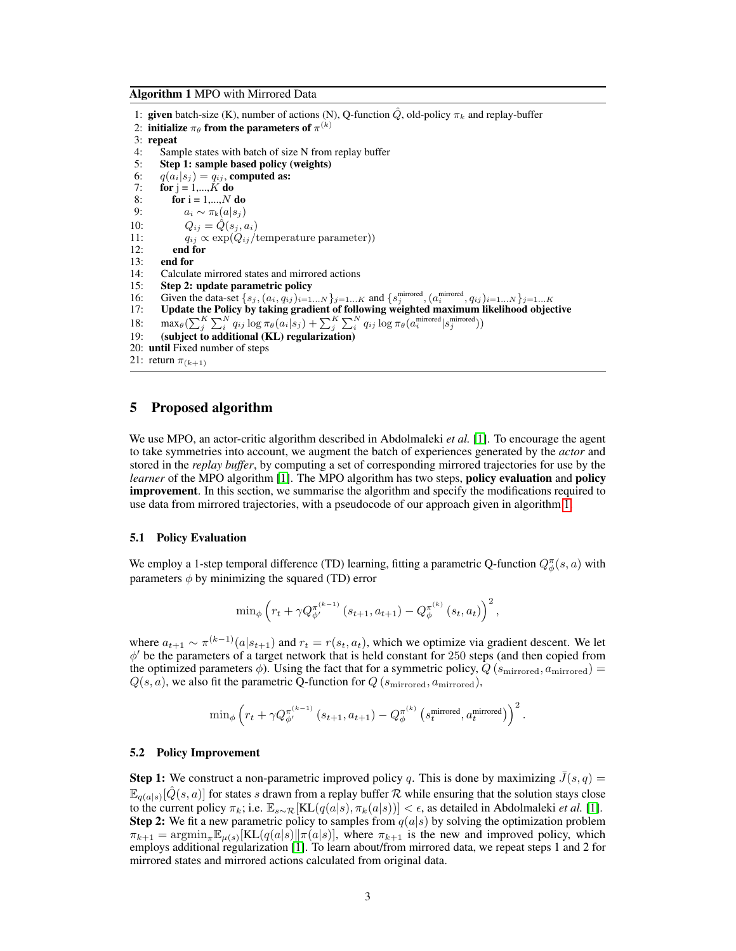<span id="page-2-0"></span>Algorithm 1 MPO with Mirrored Data

1: given batch-size (K), number of actions (N), Q-function  $\hat{Q}$ , old-policy  $\pi_k$  and replay-buffer 2: initialize  $\pi_{\theta}$  from the parameters of  $\pi^{(k)}$ 3: repeat 4: Sample states with batch of size N from replay buffer 5: Step 1: sample based policy (weights) 6:  $q(a_i|s_j) = q_{ij}$ , computed as: 7: **for**  $j = 1,...,K$  **do** 8: **for**  $i = 1,...,N$  **do** 9:  $a_i \sim \pi_k(a|s_i)$ 10:  $Q_{ij} = \hat{Q}(s_j, a_i)$ 11:  $q_{ij} \propto \exp(Q_{ij}/\text{temperature parameter})$ <br>12: **end for** end for 13: end for 14: Calculate mirrored states and mirrored actions 15: **Step 2: update parametric policy**<br>16: Given the data-set  $\{s_i, (a_i, q_{ii})_{i=1}\}$ 16: Given the data-set  $\{s_j, (a_i, q_{ij})_{i=1...N}\}_{j=1...K}$  and  $\{s_j^{\text{mirrored}}, (a_i^{\text{mirrored}}, q_{ij})_{i=1...N}\}_{j=1...K}$ 17: Update the Policy by taking gradient of following weighted maximum likelihood objective 18: max $\theta(\sum_{j}^{K}\sum_{i}^{N} q_{ij} \log \pi_{\theta}(a_i|s_j) + \sum_{j}^{K}\sum_{i}^{N} q_{ij} \log \pi_{\theta}(a_i^{\text{mirored}}|s_j^{\text{mirored}}))$ 19: (subject to additional (KL) regularization) 20: until Fixed number of steps 21: return  $\pi_{(k+1)}$ 

# 5 Proposed algorithm

We use MPO, an actor-critic algorithm described in Abdolmaleki *et al.* [\[1\]](#page-4-4). To encourage the agent to take symmetries into account, we augment the batch of experiences generated by the *actor* and stored in the *replay buffer*, by computing a set of corresponding mirrored trajectories for use by the *learner* of the MPO algorithm [\[1\]](#page-4-4). The MPO algorithm has two steps, **policy evaluation** and **policy** improvement. In this section, we summarise the algorithm and specify the modifications required to use data from mirrored trajectories, with a pseudocode of our approach given in algorithm [1.](#page-2-0)

#### 5.1 Policy Evaluation

We employ a 1-step temporal difference (TD) learning, fitting a parametric Q-function  $Q^{\pi}_{\phi}(s, a)$  with parameters  $\phi$  by minimizing the squared (TD) error

$$
\min_{\phi} \left( r_t + \gamma Q_{\phi'}^{\pi^{(k-1)}} \left( s_{t+1}, a_{t+1} \right) - Q_{\phi}^{\pi^{(k)}} \left( s_t, a_t \right) \right)^2,
$$

where  $a_{t+1} \sim \pi^{(k-1)}(a|s_{t+1})$  and  $r_t = r(s_t, a_t)$ , which we optimize via gradient descent. We let  $\phi'$  be the parameters of a target network that is held constant for 250 steps (and then copied from the optimized parameters  $\phi$ ). Using the fact that for a symmetric policy,  $Q(s_{\text{mirrored}}, a_{\text{mirrored}})$  =  $Q(s, a)$ , we also fit the parametric Q-function for  $Q(s_{\text{mirrored}}, a_{\text{mirrored}})$ ,

$$
\mathrm{min}_{\phi} \left( r_t + \gamma Q_{\phi'}^{\pi^{(k-1)}} \left( s_{t+1}, a_{t+1} \right) - Q_{\phi}^{\pi^{(k)}} \left( s_t^{\mathrm{mirrored}}, a_t^{\mathrm{mirrored}} \right) \right)^2.
$$

### 5.2 Policy Improvement

**Step 1:** We construct a non-parametric improved policy q. This is done by maximizing  $J(s, q)$  =  $\mathbb{E}_{q(a|s)}[\hat{Q}(s,a)]$  for states s drawn from a replay buffer  $\cal R$  while ensuring that the solution stays close to the current policy  $\pi_k$ ; i.e.  $\mathbb{E}_{s \sim \mathcal{R}}[\text{KL}(q(a|s), \pi_k(a|s))] < \epsilon$ , as detailed in Abdolmaleki *et al.* [\[1\]](#page-4-4). **Step 2:** We fit a new parametric policy to samples from  $q(a|s)$  by solving the optimization problem  $\pi_{k+1}$  = argmin<sub> $\pi$ </sub> $\mathbb{E}_{\mu(s)}$ [KL( $q(a|s)$ ]| $\pi(a|s)$ ], where  $\pi_{k+1}$  is the new and improved policy, which employs additional regularization [\[1\]](#page-4-4). To learn about/from mirrored data, we repeat steps 1 and 2 for mirrored states and mirrored actions calculated from original data.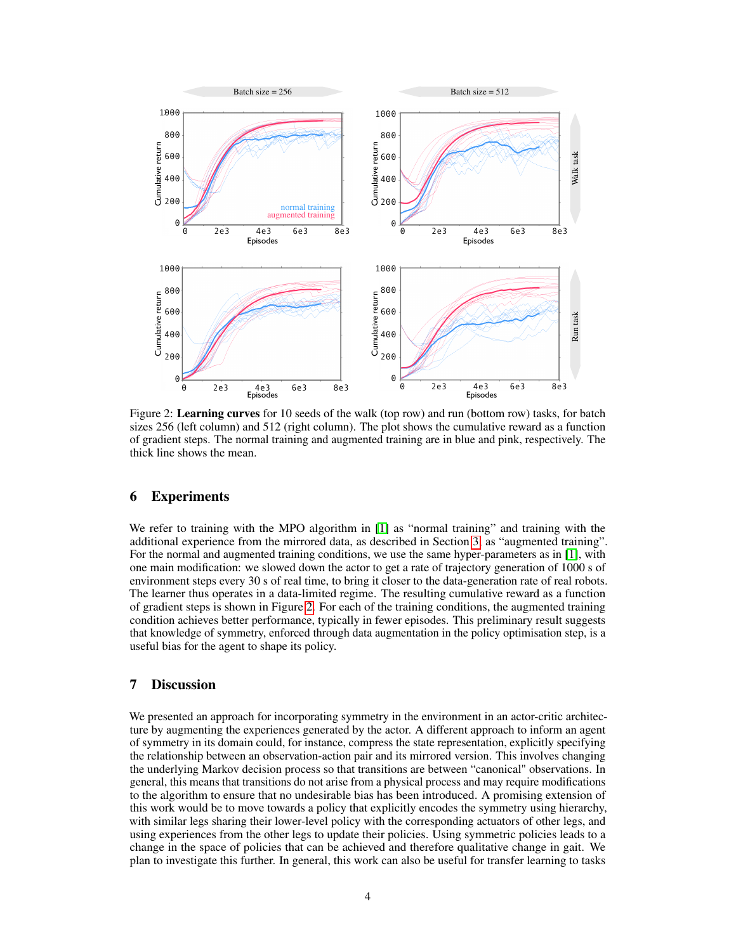<span id="page-3-0"></span>

Figure 2: Learning curves for 10 seeds of the walk (top row) and run (bottom row) tasks, for batch sizes 256 (left column) and 512 (right column). The plot shows the cumulative reward as a function of gradient steps. The normal training and augmented training are in blue and pink, respectively. The thick line shows the mean.

# 6 Experiments

We refer to training with the MPO algorithm in [\[1\]](#page-4-4) as "normal training" and training with the additional experience from the mirrored data, as described in Section [3,](#page-1-1) as "augmented training". For the normal and augmented training conditions, we use the same hyper-parameters as in [\[1\]](#page-4-4), with one main modification: we slowed down the actor to get a rate of trajectory generation of 1000 s of environment steps every 30 s of real time, to bring it closer to the data-generation rate of real robots. The learner thus operates in a data-limited regime. The resulting cumulative reward as a function of gradient steps is shown in Figure [2.](#page-3-0) For each of the training conditions, the augmented training condition achieves better performance, typically in fewer episodes. This preliminary result suggests that knowledge of symmetry, enforced through data augmentation in the policy optimisation step, is a useful bias for the agent to shape its policy.

# 7 Discussion

We presented an approach for incorporating symmetry in the environment in an actor-critic architecture by augmenting the experiences generated by the actor. A different approach to inform an agent of symmetry in its domain could, for instance, compress the state representation, explicitly specifying the relationship between an observation-action pair and its mirrored version. This involves changing the underlying Markov decision process so that transitions are between "canonical" observations. In general, this means that transitions do not arise from a physical process and may require modifications to the algorithm to ensure that no undesirable bias has been introduced. A promising extension of this work would be to move towards a policy that explicitly encodes the symmetry using hierarchy, with similar legs sharing their lower-level policy with the corresponding actuators of other legs, and using experiences from the other legs to update their policies. Using symmetric policies leads to a change in the space of policies that can be achieved and therefore qualitative change in gait. We plan to investigate this further. In general, this work can also be useful for transfer learning to tasks